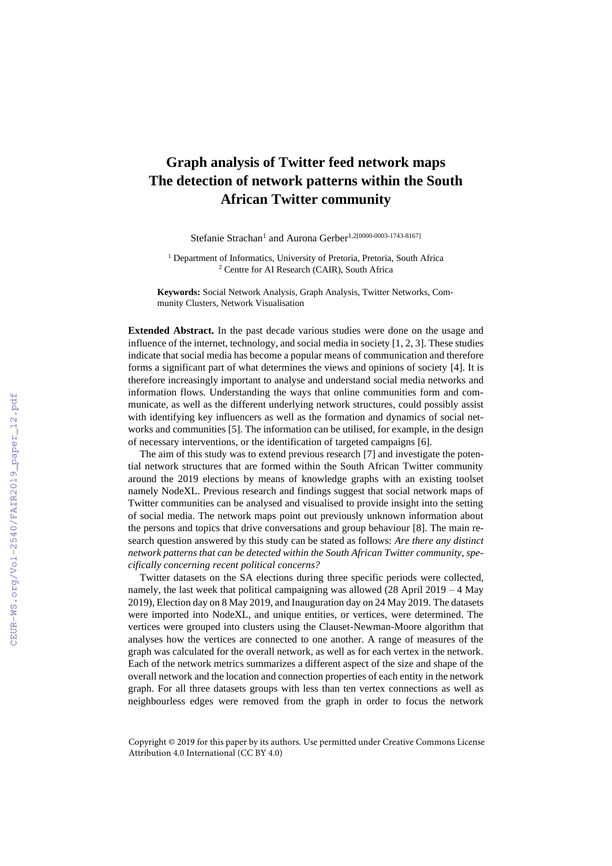## **Graph analysis of Twitter feed network maps The detection of network patterns within the South African Twitter community**

Stefanie Strachan<sup>1</sup> and Aurona Gerber<sup>1,2[0000-0003-1743-8167]</sup>

<sup>1</sup> Department of Informatics, University of Pretoria, Pretoria, South Africa <sup>2</sup> Centre for AI Research (CAIR), South Africa

**Keywords:** Social Network Analysis, Graph Analysis, Twitter Networks, Community Clusters, Network Visualisation

**Extended Abstract.** In the past decade various studies were done on the usage and influence of the internet, technology, and social media in society [1, 2, 3]. These studies indicate that social media has become a popular means of communication and therefore forms a significant part of what determines the views and opinions of society [4]. It is therefore increasingly important to analyse and understand social media networks and information flows. Understanding the ways that online communities form and communicate, as well as the different underlying network structures, could possibly assist with identifying key influencers as well as the formation and dynamics of social networks and communities [5]. The information can be utilised, for example, in the design of necessary interventions, or the identification of targeted campaigns [6].

The aim of this study was to extend previous research [7] and investigate the potential network structures that are formed within the South African Twitter community around the 2019 elections by means of knowledge graphs with an existing toolset namely NodeXL. Previous research and findings suggest that social network maps of Twitter communities can be analysed and visualised to provide insight into the setting of social media. The network maps point out previously unknown information about the persons and topics that drive conversations and group behaviour [8]. The main research question answered by this study can be stated as follows: *Are there any distinct network patterns that can be detected within the South African Twitter community, specifically concerning recent political concerns?*

Twitter datasets on the SA elections during three specific periods were collected, namely, the last week that political campaigning was allowed  $(28$  April  $2019 - 4$  May 2019), Election day on 8 May 2019, and Inauguration day on 24 May 2019. The datasets were imported into NodeXL, and unique entities, or vertices, were determined. The vertices were grouped into clusters using the Clauset-Newman-Moore algorithm that analyses how the vertices are connected to one another. A range of measures of the graph was calculated for the overall network, as well as for each vertex in the network. Each of the network metrics summarizes a different aspect of the size and shape of the overall network and the location and connection properties of each entity in the network graph. For all three datasets groups with less than ten vertex connections as well as neighbourless edges were removed from the graph in order to focus the network

Copyright © 2019 for this paper by its authors. Use permitted under Creative Commons License Attribution 4.0 International (CC BY 4.0)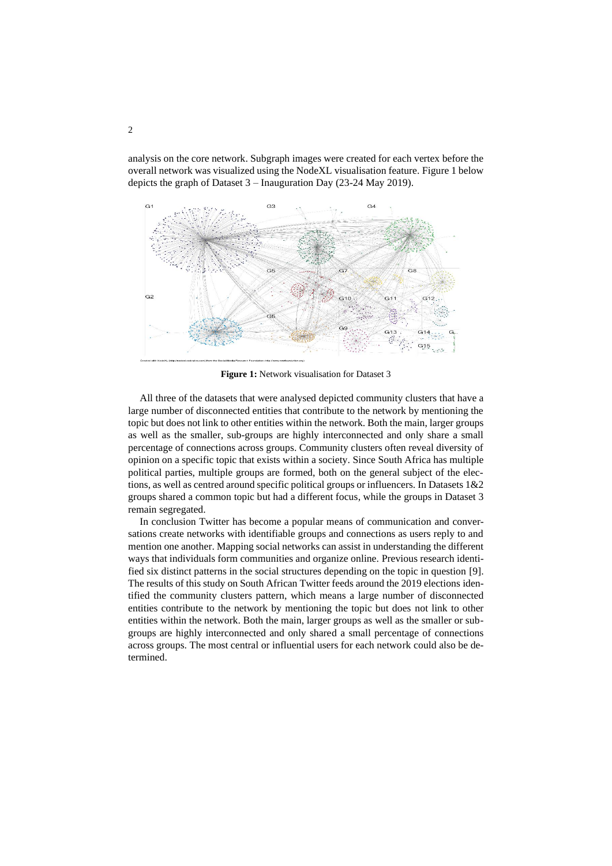analysis on the core network. Subgraph images were created for each vertex before the overall network was visualized using the NodeXL visualisation feature. Figure 1 below depicts the graph of Dataset 3 – Inauguration Day (23-24 May 2019).



**Figure 1:** Network visualisation for Dataset 3

All three of the datasets that were analysed depicted community clusters that have a large number of disconnected entities that contribute to the network by mentioning the topic but does not link to other entities within the network. Both the main, larger groups as well as the smaller, sub-groups are highly interconnected and only share a small percentage of connections across groups. Community clusters often reveal diversity of opinion on a specific topic that exists within a society. Since South Africa has multiple political parties, multiple groups are formed, both on the general subject of the elections, as well as centred around specific political groups or influencers. In Datasets  $1&2$ groups shared a common topic but had a different focus, while the groups in Dataset 3 remain segregated.

In conclusion Twitter has become a popular means of communication and conversations create networks with identifiable groups and connections as users reply to and mention one another. Mapping social networks can assist in understanding the different ways that individuals form communities and organize online. Previous research identified six distinct patterns in the social structures depending on the topic in question [9]. The results of this study on South African Twitter feeds around the 2019 elections identified the community clusters pattern, which means a large number of disconnected entities contribute to the network by mentioning the topic but does not link to other entities within the network. Both the main, larger groups as well as the smaller or subgroups are highly interconnected and only shared a small percentage of connections across groups. The most central or influential users for each network could also be determined.